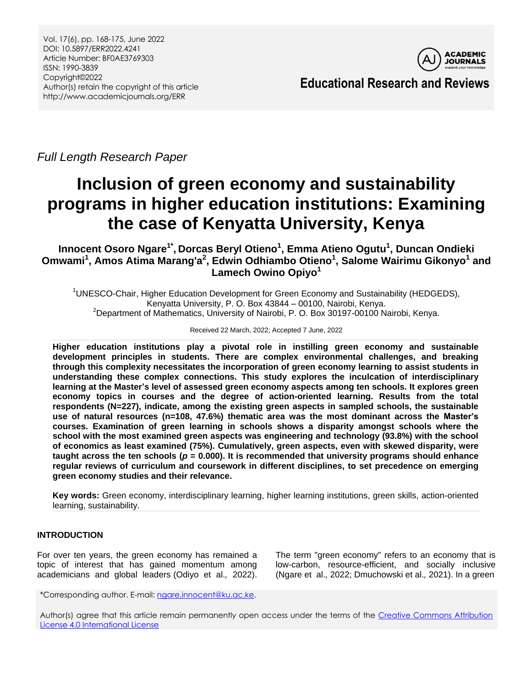

**Educational Research and Reviews**

*Full Length Research Paper*

# **Inclusion of green economy and sustainability programs in higher education institutions: Examining the case of Kenyatta University, Kenya**

**Innocent Osoro Ngare1\* , Dorcas Beryl Otieno<sup>1</sup> , Emma Atieno Ogutu<sup>1</sup> , Duncan Ondieki Omwami<sup>1</sup> , Amos Atima Marang'a<sup>2</sup> , Edwin Odhiambo Otieno<sup>1</sup> , Salome Wairimu Gikonyo<sup>1</sup> and Lamech Owino Opiyo<sup>1</sup>**

<sup>1</sup>UNESCO-Chair, Higher Education Development for Green Economy and Sustainability (HEDGEDS), Kenyatta University, P. O. Box 43844 – 00100, Nairobi, Kenya. <sup>2</sup>Department of Mathematics, University of Nairobi, P. O. Box 30197-00100 Nairobi, Kenya.

#### Received 22 March, 2022; Accepted 7 June, 2022

**Higher education institutions play a pivotal role in instilling green economy and sustainable development principles in students. There are complex environmental challenges, and breaking through this complexity necessitates the incorporation of green economy learning to assist students in understanding these complex connections. This study explores the inculcation of interdisciplinary learning at the Master's level of assessed green economy aspects among ten schools. It explores green economy topics in courses and the degree of action-oriented learning. Results from the total respondents (N=227), indicate, among the existing green aspects in sampled schools, the sustainable use of natural resources (n=108, 47.6%) thematic area was the most dominant across the Master's courses. Examination of green learning in schools shows a disparity amongst schools where the school with the most examined green aspects was engineering and technology (93.8%) with the school of economics as least examined (75%). Cumulatively, green aspects, even with skewed disparity, were taught across the ten schools (***p* **= 0.000). It is recommended that university programs should enhance regular reviews of curriculum and coursework in different disciplines, to set precedence on emerging green economy studies and their relevance.**

**Key words:** Green economy, interdisciplinary learning, higher learning institutions, green skills, action-oriented learning, sustainability.

# **INTRODUCTION**

For over ten years, the green economy has remained a topic of interest that has gained momentum among academicians and global leaders (Odiyo et al.*,* 2022). The term "green economy" refers to an economy that is low-carbon, resource-efficient, and socially inclusive (Ngare et al.*,* 2022; Dmuchowski et al.*,* 2021). In a green

\*Corresponding author. E-mail[: ngare.innocent@ku.ac.ke.](mailto:ngare.innocent@ku.ac.ke)

Author(s) agree that this article remain permanently open access under the terms of the Creative Commons Attribution [License 4.0 International License](http://creativecommons.org/licenses/by/4.0/deed.en_US)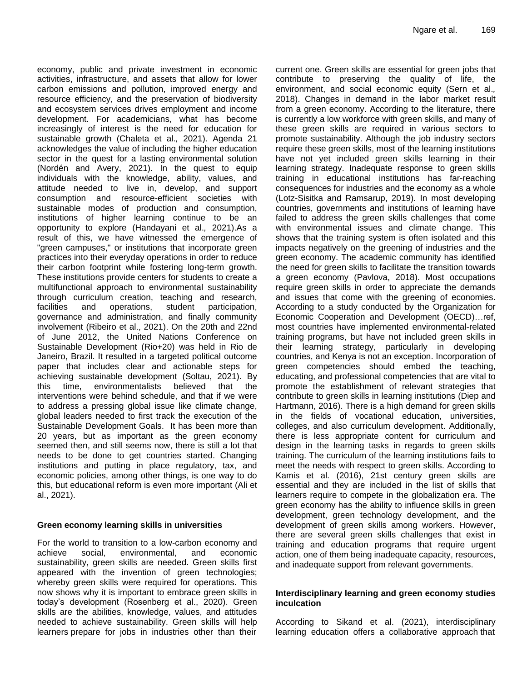economy, public and private investment in economic activities, infrastructure, and assets that allow for lower carbon emissions and pollution, improved energy and resource efficiency, and the preservation of biodiversity and ecosystem services drives employment and income development. For academicians, what has become increasingly of interest is the need for education for sustainable growth (Chaleta et al.*,* 2021). Agenda 21 acknowledges the value of including the higher education sector in the quest for a lasting environmental solution (Nordén and Avery, 2021). In the quest to equip individuals with the knowledge, ability, values, and attitude needed to live in, develop, and support consumption and resource-efficient societies with sustainable modes of production and consumption, institutions of higher learning continue to be an opportunity to explore (Handayani et al.*,* 2021).As a result of this, we have witnessed the emergence of "green campuses," or institutions that incorporate green practices into their everyday operations in order to reduce their carbon footprint while fostering long-term growth. These institutions provide centers for students to create a multifunctional approach to environmental sustainability through curriculum creation, teaching and research, facilities and operations, student participation, governance and administration, and finally community involvement (Ribeiro et al., 2021). On the 20th and 22nd of June 2012, the United Nations Conference on Sustainable Development (Rio+20) was held in Rio de Janeiro, Brazil. It resulted in a targeted political outcome paper that includes clear and actionable steps for achieving sustainable development (Soltau, 2021). By this time, environmentalists believed that the interventions were behind schedule, and that if we were to address a pressing global issue like climate change, global leaders needed to first track the execution of the Sustainable Development Goals. It has been more than 20 years, but as important as the green economy seemed then, and still seems now, there is still a lot that needs to be done to get countries started. Changing institutions and putting in place regulatory, tax, and economic policies, among other things, is one way to do this, but educational reform is even more important (Ali et al., 2021).

# **Green economy learning skills in universities**

For the world to transition to a low-carbon economy and achieve social, environmental, and economic sustainability, green skills are needed. Green skills first appeared with the invention of green technologies; whereby green skills were required for operations. This now shows why it is important to embrace green skills in today's development (Rosenberg et al., 2020). Green skills are the abilities, knowledge, values, and attitudes needed to achieve sustainability. Green skills will help learners prepare for jobs in industries other than their

current one. Green skills are essential for green jobs that contribute to preserving the quality of life, the environment, and social economic equity (Sern et al.*,* 2018). Changes in demand in the labor market result from a green economy. According to the literature, there is currently a low workforce with green skills, and many of these green skills are required in various sectors to promote sustainability. Although the job industry sectors require these green skills, most of the learning institutions have not yet included green skills learning in their learning strategy. Inadequate response to green skills training in educational institutions has far-reaching consequences for industries and the economy as a whole (Lotz-Sisitka and Ramsarup, 2019). In most developing countries, governments and institutions of learning have failed to address the green skills challenges that come with environmental issues and climate change. This shows that the training system is often isolated and this impacts negatively on the greening of industries and the green economy. The academic community has identified the need for green skills to facilitate the transition towards a green economy (Pavlova, 2018). Most occupations require green skills in order to appreciate the demands and issues that come with the greening of economies. According to a study conducted by the Organization for Economic Cooperation and Development (OECD)…ref, most countries have implemented environmental-related training programs, but have not included green skills in their learning strategy, particularly in developing countries, and Kenya is not an exception. Incorporation of green competencies should embed the teaching, educating, and professional competencies that are vital to promote the establishment of relevant strategies that contribute to green skills in learning institutions (Diep and Hartmann, 2016). There is a high demand for green skills in the fields of vocational education, universities, colleges, and also curriculum development. Additionally, there is less appropriate content for curriculum and design in the learning tasks in regards to green skills training. The curriculum of the learning institutions fails to meet the needs with respect to green skills. According to Kamis et al. (2016), 21st century green skills are essential and they are included in the list of skills that learners require to compete in the globalization era. The green economy has the ability to influence skills in green development, green technology development, and the development of green skills among workers. However, there are several green skills challenges that exist in training and education programs that require urgent action, one of them being inadequate capacity, resources, and inadequate support from relevant governments.

### **Interdisciplinary learning and green economy studies inculcation**

According to Sikand et al. (2021), interdisciplinary learning education offers a collaborative approach that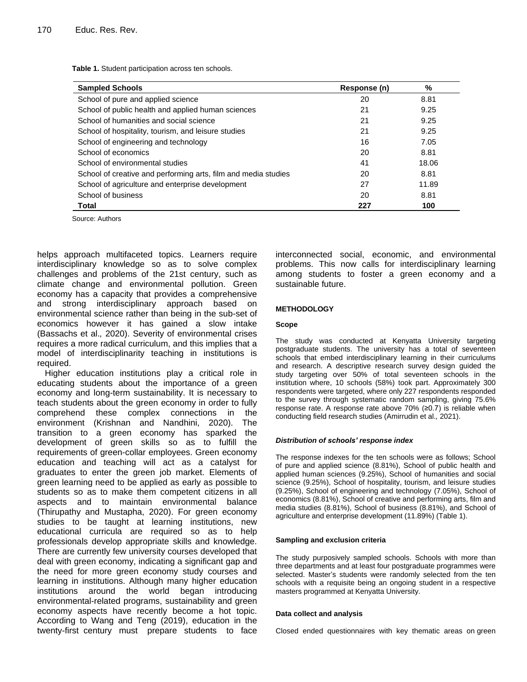**Table 1.** Student participation across ten schools.

| <b>Sampled Schools</b>                                         | Response (n) | %     |
|----------------------------------------------------------------|--------------|-------|
| School of pure and applied science                             | 20           | 8.81  |
| School of public health and applied human sciences             | 21           | 9.25  |
| School of humanities and social science                        | 21           | 9.25  |
| School of hospitality, tourism, and leisure studies            | 21           | 9.25  |
| School of engineering and technology                           | 16           | 7.05  |
| School of economics                                            | 20           | 8.81  |
| School of environmental studies                                | 41           | 18.06 |
| School of creative and performing arts, film and media studies | 20           | 8.81  |
| School of agriculture and enterprise development               | 27           | 11.89 |
| School of business                                             | 20           | 8.81  |
| Total                                                          | 227          | 100   |

Source: Authors

helps approach multifaceted topics. Learners require interdisciplinary knowledge so as to solve complex challenges and problems of the 21st century, such as climate change and environmental pollution. Green economy has a capacity that provides a comprehensive and strong interdisciplinary approach based on environmental science rather than being in the sub-set of economics however it has gained a slow intake (Bassachs et al.*,* 2020). Severity of environmental crises requires a more radical curriculum, and this implies that a model of interdisciplinarity teaching in institutions is required.

Higher education institutions play a critical role in educating students about the importance of a green economy and long-term sustainability. It is necessary to teach students about the green economy in order to fully comprehend these complex connections in the environment (Krishnan and Nandhini, 2020). The transition to a green economy has sparked the development of green skills so as to fulfill the requirements of green-collar employees. Green economy education and teaching will act as a catalyst for graduates to enter the green job market. Elements of green learning need to be applied as early as possible to students so as to make them competent citizens in all aspects and to maintain environmental balance (Thirupathy and Mustapha, 2020). For green economy studies to be taught at learning institutions, new educational curricula are required so as to help professionals develop appropriate skills and knowledge. There are currently few university courses developed that deal with green economy, indicating a significant gap and the need for more green economy study courses and learning in institutions. Although many higher education institutions around the world began introducing environmental-related programs, sustainability and green economy aspects have recently become a hot topic. According to Wang and Teng (2019), education in the twenty-first century must prepare students to face interconnected social, economic, and environmental problems. This now calls for interdisciplinary learning among students to foster a green economy and a sustainable future.

#### **METHODOLOGY**

#### **Scope**

The study was conducted at Kenyatta University targeting postgraduate students. The university has a total of seventeen schools that embed interdisciplinary learning in their curriculums and research. A descriptive research survey design guided the study targeting over 50% of total seventeen schools in the institution where, 10 schools (58%) took part. Approximately 300 respondents were targeted, where only 227 respondents responded to the survey through systematic random sampling, giving 75.6% response rate. A response rate above 70% (≥0.7) is reliable when conducting field research studies (Amirrudin et al.*,* 2021).

#### *Distribution of schools' response index*

The response indexes for the ten schools were as follows; School of pure and applied science (8.81%), School of public health and applied human sciences (9.25%), School of humanities and social science (9.25%), School of hospitality, tourism, and leisure studies (9.25%), School of engineering and technology (7.05%), School of economics (8.81%), School of creative and performing arts, film and media studies (8.81%), School of business (8.81%), and School of agriculture and enterprise development (11.89%) (Table 1).

#### **Sampling and exclusion criteria**

The study purposively sampled schools. Schools with more than three departments and at least four postgraduate programmes were selected. Master's students were randomly selected from the ten schools with a requisite being an ongoing student in a respective masters programmed at Kenyatta University.

#### **Data collect and analysis**

Closed ended questionnaires with key thematic areas on green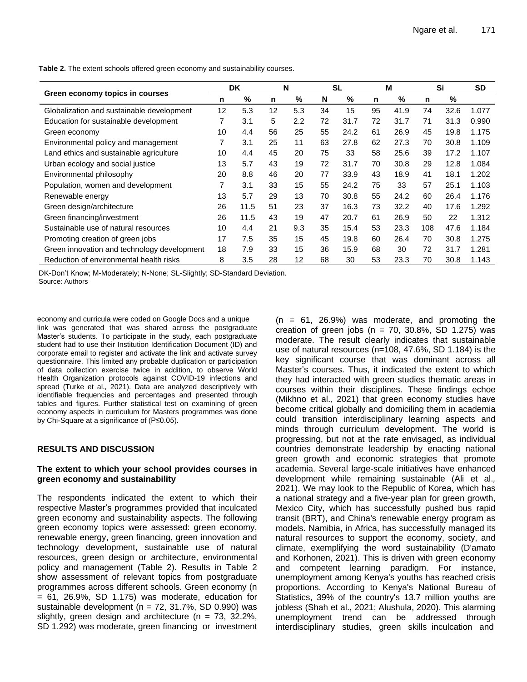|                                             | DK. |      | N  |     | <b>SL</b> |      | м  |      | Si  |      | <b>SD</b> |
|---------------------------------------------|-----|------|----|-----|-----------|------|----|------|-----|------|-----------|
| Green economy topics in courses             | n   | $\%$ | n  | %   | N         | %    | n  | %    | n   | %    |           |
| Globalization and sustainable development   | 12  | 5.3  | 12 | 5.3 | 34        | 15   | 95 | 41.9 | 74  | 32.6 | 1.077     |
| Education for sustainable development       | 7   | 3.1  | 5  | 2.2 | 72        | 31.7 | 72 | 31.7 | 71  | 31.3 | 0.990     |
| Green economy                               | 10  | 4.4  | 56 | 25  | 55        | 24.2 | 61 | 26.9 | 45  | 19.8 | 1.175     |
| Environmental policy and management         | 7   | 3.1  | 25 | 11  | 63        | 27.8 | 62 | 27.3 | 70  | 30.8 | 1.109     |
| Land ethics and sustainable agriculture     | 10  | 4.4  | 45 | 20  | 75        | 33   | 58 | 25.6 | 39  | 17.2 | 1.107     |
| Urban ecology and social justice            | 13  | 5.7  | 43 | 19  | 72        | 31.7 | 70 | 30.8 | 29  | 12.8 | 1.084     |
| Environmental philosophy                    | 20  | 8.8  | 46 | 20  | 77        | 33.9 | 43 | 18.9 | 41  | 18.1 | 1.202     |
| Population, women and development           | 7   | 3.1  | 33 | 15  | 55        | 24.2 | 75 | 33   | 57  | 25.1 | 1.103     |
| Renewable energy                            | 13  | 5.7  | 29 | 13  | 70        | 30.8 | 55 | 24.2 | 60  | 26.4 | 1.176     |
| Green design/architecture                   | 26  | 11.5 | 51 | 23  | 37        | 16.3 | 73 | 32.2 | 40  | 17.6 | 1.292     |
| Green financing/investment                  | 26  | 11.5 | 43 | 19  | 47        | 20.7 | 61 | 26.9 | 50  | 22   | 1.312     |
| Sustainable use of natural resources        | 10  | 4.4  | 21 | 9.3 | 35        | 15.4 | 53 | 23.3 | 108 | 47.6 | 1.184     |
| Promoting creation of green jobs            | 17  | 7.5  | 35 | 15  | 45        | 19.8 | 60 | 26.4 | 70  | 30.8 | 1.275     |
| Green innovation and technology development | 18  | 7.9  | 33 | 15  | 36        | 15.9 | 68 | 30   | 72  | 31.7 | 1.281     |
| Reduction of environmental health risks     | 8   | 3.5  | 28 | 12  | 68        | 30   | 53 | 23.3 | 70  | 30.8 | 1.143     |

**Table 2.** The extent schools offered green economy and sustainability courses.

DK-Don't Know; M-Moderately; N-None; SL-Slightly; SD-Standard Deviation. Source: Authors

economy and curricula were coded on Google Docs and a unique link was generated that was shared across the postgraduate Master's students. To participate in the study, each postgraduate student had to use their Institution Identification Document (ID) and corporate email to register and activate the link and activate survey questionnaire. This limited any probable duplication or participation of data collection exercise twice in addition, to observe World Health Organization protocols against COVID-19 infections and spread (Turke et al.*,* 2021). Data are analyzed descriptively with identifiable frequencies and percentages and presented through tables and figures. Further statistical test on examining of green economy aspects in curriculum for Masters programmes was done by Chi-Square at a significance of (P≤0.05).

# **RESULTS AND DISCUSSION**

#### **The extent to which your school provides courses in green economy and sustainability**

The respondents indicated the extent to which their respective Master's programmes provided that inculcated green economy and sustainability aspects. The following green economy topics were assessed: green economy, renewable energy, green financing, green innovation and technology development, sustainable use of natural resources, green design or architecture, environmental policy and management (Table 2). Results in Table 2 show assessment of relevant topics from postgraduate programmes across different schools. Green economy (n  $= 61, 26.9\%, SD 1.175$  was moderate, education for sustainable development ( $n = 72, 31.7\%$ , SD 0.990) was slightly, green design and architecture ( $n = 73$ , 32.2%, SD 1.292) was moderate, green financing or investment

 $(n = 61, 26.9%)$  was moderate, and promoting the creation of green jobs ( $n = 70$ , 30.8%, SD 1.275) was moderate. The result clearly indicates that sustainable use of natural resources (n=108, 47.6%, SD 1.184) is the key significant course that was dominant across all Master's courses. Thus, it indicated the extent to which they had interacted with green studies thematic areas in courses within their disciplines. These findings echoe (Mikhno et al.*,* 2021) that green economy studies have become critical globally and domiciling them in academia could transition interdisciplinary learning aspects and minds through curriculum development. The world is progressing, but not at the rate envisaged, as individual countries demonstrate leadership by enacting national green growth and economic strategies that promote academia. Several large-scale initiatives have enhanced development while remaining sustainable (Ali et al.*,* 2021). We may look to the Republic of Korea, which has a national strategy and a five-year plan for green growth, Mexico City, which has successfully pushed bus rapid transit (BRT), and China's renewable energy program as models. Namibia, in Africa, has successfully managed its natural resources to support the economy, society, and climate, exemplifying the word sustainability (D'amato and Korhonen, 2021). This is driven with green economy and competent learning paradigm. For instance, unemployment among Kenya's youths has reached crisis proportions. According to Kenya's National Bureau of Statistics, 39% of the country's 13.7 million youths are jobless (Shah et al., 2021; Alushula, 2020). This alarming unemployment trend can be addressed through interdisciplinary studies, green skills inculcation and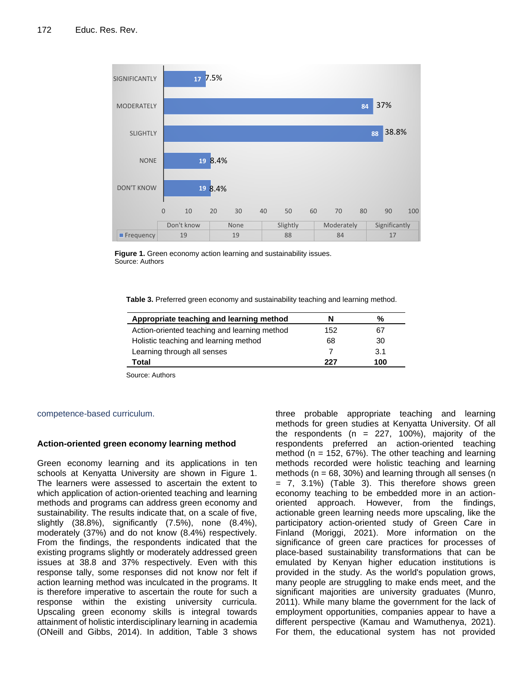

**Figure 1.** Green economy action learning and sustainability issues. Source: Authors

**Table 3.** Preferred green economy and sustainability teaching and learning method.

| Appropriate teaching and learning method     | N   | %   |
|----------------------------------------------|-----|-----|
| Action-oriented teaching and learning method | 152 | 67  |
| Holistic teaching and learning method        | 68  | 30  |
| Learning through all senses                  |     | 3.1 |
| Total                                        | 227 | 100 |

Source: Authors

#### competence-based curriculum.

#### **Action-oriented green economy learning method**

Green economy learning and its applications in ten schools at Kenyatta University are shown in Figure 1. The learners were assessed to ascertain the extent to which application of action-oriented teaching and learning methods and programs can address green economy and sustainability. The results indicate that, on a scale of five, slightly (38.8%), significantly (7.5%), none (8.4%), moderately (37%) and do not know (8.4%) respectively. From the findings, the respondents indicated that the existing programs slightly or moderately addressed green issues at 38.8 and 37% respectively. Even with this response tally, some responses did not know nor felt if action learning method was inculcated in the programs. It is therefore imperative to ascertain the route for such a response within the existing university curricula. Upscaling green economy skills is integral towards attainment of holistic interdisciplinary learning in academia (ONeill and Gibbs, 2014). In addition, Table 3 shows

three probable appropriate teaching and learning methods for green studies at Kenyatta University. Of all the respondents ( $n = 227, 100\%$ ), majority of the respondents preferred an action-oriented teaching method ( $n = 152, 67\%$ ). The other teaching and learning methods recorded were holistic teaching and learning methods ( $n = 68$ , 30%) and learning through all senses ( $n = 68$ = 7, 3.1%) (Table 3). This therefore shows green economy teaching to be embedded more in an actionoriented approach. However, from the findings, actionable green learning needs more upscaling, like the participatory action-oriented study of Green Care in Finland (Moriggi, 2021). More information on the significance of green care practices for processes of place-based sustainability transformations that can be emulated by Kenyan higher education institutions is provided in the study. As the world's population grows, many people are struggling to make ends meet, and the significant majorities are university graduates (Munro, 2011). While many blame the government for the lack of employment opportunities, companies appear to have a different perspective (Kamau and Wamuthenya, 2021). For them, the educational system has not provided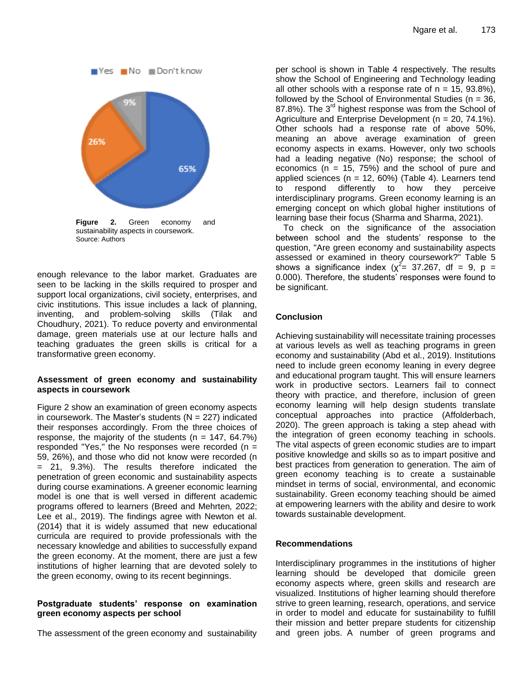

**Figure 2.** Green economy and sustainability aspects in coursework. Source: Authors

enough relevance to the labor market. Graduates are seen to be lacking in the skills required to prosper and support local organizations, civil society, enterprises, and civic institutions. This issue includes a lack of planning, inventing, and problem-solving skills (Tilak and Choudhury, 2021). To reduce poverty and environmental damage, green materials use at our lecture halls and teaching graduates the green skills is critical for a transformative green economy.

# **Assessment of green economy and sustainability aspects in coursework**

Figure 2 show an examination of green economy aspects in coursework. The Master's students  $(N = 227)$  indicated their responses accordingly. From the three choices of response, the majority of the students ( $n = 147, 64.7\%)$ responded "Yes," the No responses were recorded  $(n =$ 59, 26%), and those who did not know were recorded (n = 21, 9.3%). The results therefore indicated the penetration of green economic and sustainability aspects during course examinations. A greener economic learning model is one that is well versed in different academic programs offered to learners (Breed and Mehrten*,* 2022; Lee et al.*,* 2019). The findings agree with Newton et al. (2014) that it is widely assumed that new educational curricula are required to provide professionals with the necessary knowledge and abilities to successfully expand the green economy. At the moment, there are just a few institutions of higher learning that are devoted solely to the green economy, owing to its recent beginnings.

# **Postgraduate students' response on examination green economy aspects per school**

The assessment of the green economy and sustainability

per school is shown in Table 4 respectively. The results show the School of Engineering and Technology leading all other schools with a response rate of  $n = 15, 93.8\%$ ), followed by the School of Environmental Studies ( $n = 36$ , 87.8%). The 3<sup>rd</sup> highest response was from the School of Agriculture and Enterprise Development ( $n = 20, 74.1\%$ ). Other schools had a response rate of above 50%, meaning an above average examination of green economy aspects in exams. However, only two schools had a leading negative (No) response; the school of economics ( $n = 15, 75\%$ ) and the school of pure and applied sciences ( $n = 12, 60\%$ ) (Table 4). Learners tend to respond differently to how they perceive interdisciplinary programs. Green economy learning is an emerging concept on which global higher institutions of learning base their focus (Sharma and Sharma, 2021).

To check on the significance of the association between school and the students' response to the question, "Are green economy and sustainability aspects assessed or examined in theory coursework?" Table 5 shows a significance index ( $\chi^2$  = 37.267, df = 9, p = 0.000). Therefore, the students' responses were found to be significant.

# **Conclusion**

Achieving sustainability will necessitate training processes at various levels as well as teaching programs in green economy and sustainability (Abd et al., 2019). Institutions need to include green economy leaning in every degree and educational program taught. This will ensure learners work in productive sectors. Learners fail to connect theory with practice, and therefore, inclusion of green economy learning will help design students translate conceptual approaches into practice (Affolderbach, 2020). The green approach is taking a step ahead with the integration of green economy teaching in schools. The vital aspects of green economic studies are to impart positive knowledge and skills so as to impart positive and best practices from generation to generation. The aim of green economy teaching is to create a sustainable mindset in terms of social, environmental, and economic sustainability. Green economy teaching should be aimed at empowering learners with the ability and desire to work towards sustainable development.

# **Recommendations**

Interdisciplinary programmes in the institutions of higher learning should be developed that domicile green economy aspects where, green skills and research are visualized. Institutions of higher learning should therefore strive to green learning, research, operations, and service in order to model and educate for sustainability to fulfill their mission and better prepare students for citizenship and green jobs. A number of green programs and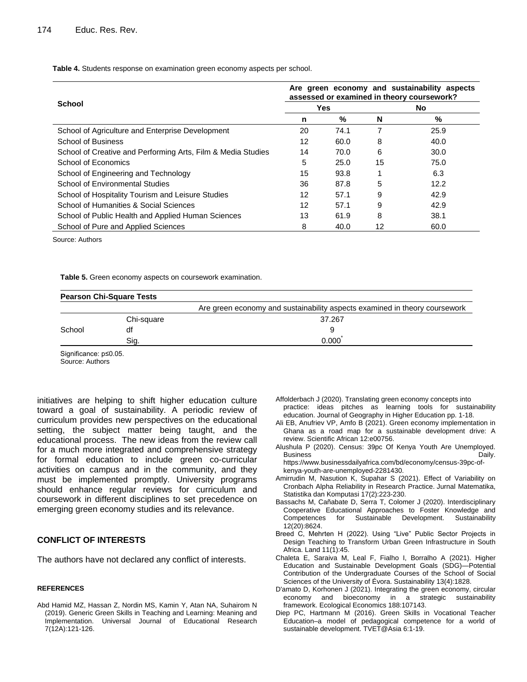**Table 4.** Students response on examination green economy aspects per school.

|                                                              | Are green economy and sustainability aspects<br>assessed or examined in theory coursework? |            |    |      |  |  |
|--------------------------------------------------------------|--------------------------------------------------------------------------------------------|------------|----|------|--|--|
| School                                                       |                                                                                            | <b>Yes</b> |    | No.  |  |  |
|                                                              | n                                                                                          | %          | N  | %    |  |  |
| School of Agriculture and Enterprise Development             | 20                                                                                         | 74.1       |    | 25.9 |  |  |
| <b>School of Business</b>                                    | 12                                                                                         | 60.0       | 8  | 40.0 |  |  |
| School of Creative and Performing Arts, Film & Media Studies | 14                                                                                         | 70.0       | 6  | 30.0 |  |  |
| School of Economics                                          | 5                                                                                          | 25.0       | 15 | 75.0 |  |  |
| School of Engineering and Technology                         | 15                                                                                         | 93.8       |    | 6.3  |  |  |
| <b>School of Environmental Studies</b>                       | 36                                                                                         | 87.8       | 5  | 12.2 |  |  |
| School of Hospitality Tourism and Leisure Studies            | 12                                                                                         | 57.1       | 9  | 42.9 |  |  |
| School of Humanities & Social Sciences                       | 12                                                                                         | 57.1       | 9  | 42.9 |  |  |
| School of Public Health and Applied Human Sciences           | 13                                                                                         | 61.9       | 8  | 38.1 |  |  |
| School of Pure and Applied Sciences                          | 8                                                                                          | 40.0       | 12 | 60.0 |  |  |

Source: Authors

**Table 5.** Green economy aspects on coursework examination.

|        | <b>Pearson Chi-Square Tests</b> |                                                                            |
|--------|---------------------------------|----------------------------------------------------------------------------|
|        |                                 | Are green economy and sustainability aspects examined in theory coursework |
|        | Chi-square                      | 37.267                                                                     |
| School | df                              |                                                                            |
|        | Sia.                            | 0.000                                                                      |

Significance: p≤0.05.

Source: Authors

initiatives are helping to shift higher education culture toward a goal of sustainability. A periodic review of curriculum provides new perspectives on the educational setting, the subject matter being taught, and the educational process. The new ideas from the review call for a much more integrated and comprehensive strategy for formal education to include green co-curricular activities on campus and in the community, and they must be implemented promptly. University programs should enhance regular reviews for curriculum and coursework in different disciplines to set precedence on emerging green economy studies and its relevance.

# **CONFLICT OF INTERESTS**

The authors have not declared any conflict of interests.

#### **REFERENCES**

Abd Hamid MZ, Hassan Z, Nordin MS, Kamin Y, Atan NA, Suhairom N (2019). Generic Green Skills in Teaching and Learning: Meaning and Implementation. Universal Journal of Educational Research 7(12A):121-126.

- Affolderbach J (2020). Translating green economy concepts into practice: ideas pitches as learning tools for sustainability education. Journal of Geography in Higher Education pp. 1-18.
- Ali EB, Anufriev VP, Amfo B (2021). Green economy implementation in Ghana as a road map for a sustainable development drive: A review. Scientific African 12:e00756.
- Alushula P (2020). Census: 39pc Of Kenya Youth Are Unemployed. Business **Daily.** https://www.businessdailyafrica.com/bd/economy/census-39pc-ofkenya-youth-are-unemployed-2281430.
- Amirrudin M, Nasution K, Supahar S (2021). Effect of Variability on Cronbach Alpha Reliability in Research Practice. Jurnal Matematika, Statistika dan Komputasi 17(2):223-230.
- Bassachs M, Cañabate D, Serra T, Colomer J (2020). Interdisciplinary Cooperative Educational Approaches to Foster Knowledge and Competences for Sustainable Development. Sustainability 12(20):8624.
- Breed C, Mehrten H (2022). Using "Live" Public Sector Projects in Design Teaching to Transform Urban Green Infrastructure in South Africa. Land 11(1):45.
- Chaleta E, Saraiva M, Leal F, Fialho I, Borralho A (2021). Higher Education and Sustainable Development Goals (SDG)—Potential Contribution of the Undergraduate Courses of the School of Social Sciences of the University of Évora. Sustainability 13(4):1828.
- D'amato D, Korhonen J (2021). Integrating the green economy, circular economy and bioeconomy in a strategic sustainability framework. Ecological Economics 188:107143.
- Diep PC, Hartmann M (2016). Green Skills in Vocational Teacher Education–a model of pedagogical competence for a world of sustainable development. TVET@Asia 6:1-19.